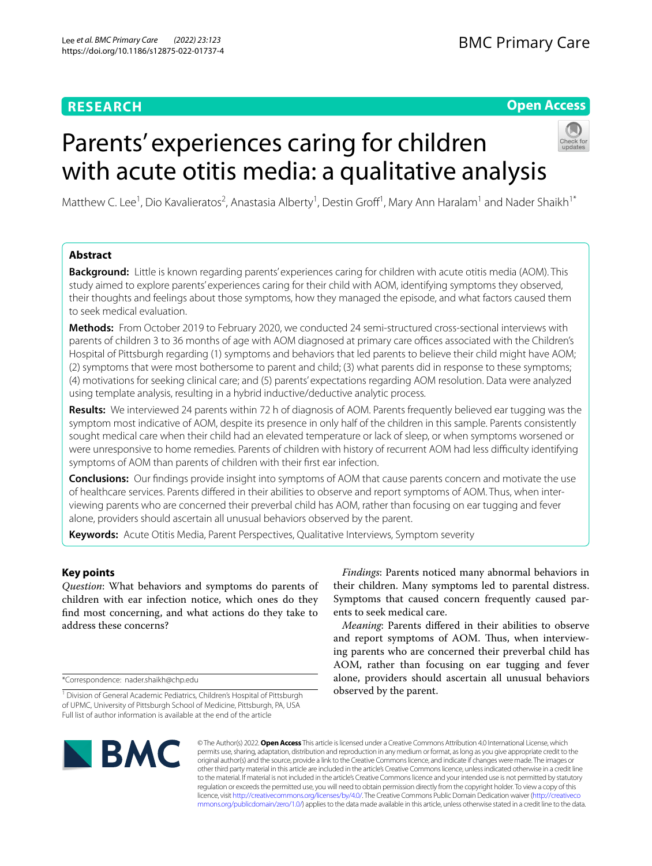# **RESEARCH**

# **Open Access**

# Parents' experiences caring for children with acute otitis media: a qualitative analysis



Matthew C. Lee<sup>1</sup>, Dio Kavalieratos<sup>2</sup>, Anastasia Alberty<sup>1</sup>, Destin Groff<sup>1</sup>, Mary Ann Haralam<sup>1</sup> and Nader Shaikh<sup>1\*</sup>

# **Abstract**

**Background:** Little is known regarding parents' experiences caring for children with acute otitis media (AOM). This study aimed to explore parents' experiences caring for their child with AOM, identifying symptoms they observed, their thoughts and feelings about those symptoms, how they managed the episode, and what factors caused them to seek medical evaluation.

**Methods:** From October 2019 to February 2020, we conducted 24 semi-structured cross-sectional interviews with parents of children 3 to 36 months of age with AOM diagnosed at primary care offices associated with the Children's Hospital of Pittsburgh regarding (1) symptoms and behaviors that led parents to believe their child might have AOM; (2) symptoms that were most bothersome to parent and child; (3) what parents did in response to these symptoms; (4) motivations for seeking clinical care; and (5) parents' expectations regarding AOM resolution. Data were analyzed using template analysis, resulting in a hybrid inductive/deductive analytic process.

**Results:** We interviewed 24 parents within 72 h of diagnosis of AOM. Parents frequently believed ear tugging was the symptom most indicative of AOM, despite its presence in only half of the children in this sample. Parents consistently sought medical care when their child had an elevated temperature or lack of sleep, or when symptoms worsened or were unresponsive to home remedies. Parents of children with history of recurrent AOM had less difficulty identifying symptoms of AOM than parents of children with their frst ear infection.

**Conclusions:** Our fndings provide insight into symptoms of AOM that cause parents concern and motivate the use of healthcare services. Parents difered in their abilities to observe and report symptoms of AOM. Thus, when interviewing parents who are concerned their preverbal child has AOM, rather than focusing on ear tugging and fever alone, providers should ascertain all unusual behaviors observed by the parent.

**Keywords:** Acute Otitis Media, Parent Perspectives, Qualitative Interviews, Symptom severity

# **Key points**

*Question*: What behaviors and symptoms do parents of children with ear infection notice, which ones do they fnd most concerning, and what actions do they take to address these concerns?

\*Correspondence: nader.shaikh@chp.edu

*Findings*: Parents noticed many abnormal behaviors in their children. Many symptoms led to parental distress. Symptoms that caused concern frequently caused parents to seek medical care.

*Meaning*: Parents difered in their abilities to observe and report symptoms of AOM. Thus, when interviewing parents who are concerned their preverbal child has AOM, rather than focusing on ear tugging and fever alone, providers should ascertain all unusual behaviors observed by the parent.



© The Author(s) 2022. **Open Access** This article is licensed under a Creative Commons Attribution 4.0 International License, which permits use, sharing, adaptation, distribution and reproduction in any medium or format, as long as you give appropriate credit to the original author(s) and the source, provide a link to the Creative Commons licence, and indicate if changes were made. The images or other third party material in this article are included in the article's Creative Commons licence, unless indicated otherwise in a credit line to the material. If material is not included in the article's Creative Commons licence and your intended use is not permitted by statutory regulation or exceeds the permitted use, you will need to obtain permission directly from the copyright holder. To view a copy of this licence, visit [http://creativecommons.org/licenses/by/4.0/.](http://creativecommons.org/licenses/by/4.0/) The Creative Commons Public Domain Dedication waiver ([http://creativeco](http://creativecommons.org/publicdomain/zero/1.0/) [mmons.org/publicdomain/zero/1.0/](http://creativecommons.org/publicdomain/zero/1.0/)) applies to the data made available in this article, unless otherwise stated in a credit line to the data.

<sup>&</sup>lt;sup>1</sup> Division of General Academic Pediatrics, Children's Hospital of Pittsburgh of UPMC, University of Pittsburgh School of Medicine, Pittsburgh, PA, USA Full list of author information is available at the end of the article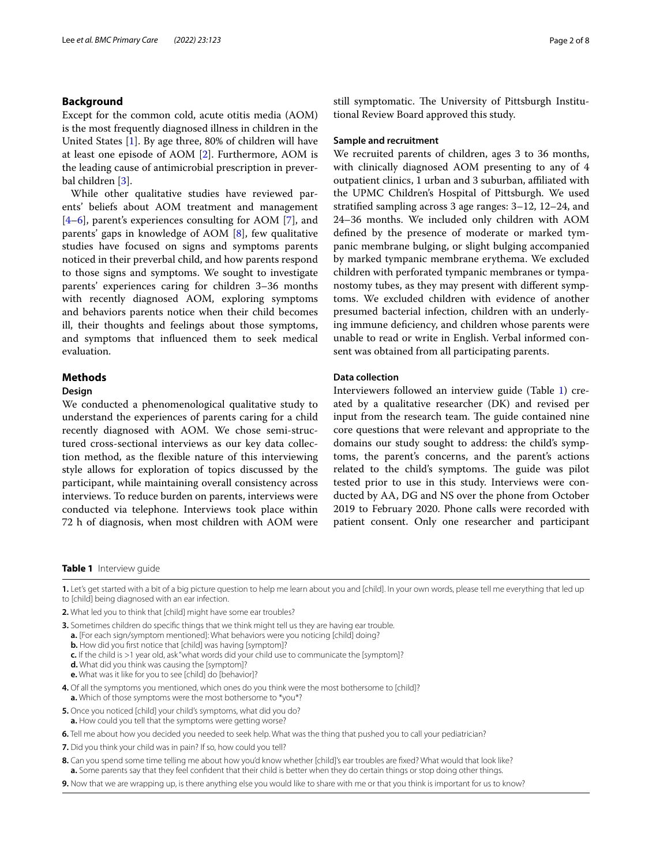# **Background**

Except for the common cold, acute otitis media (AOM) is the most frequently diagnosed illness in children in the United States [[1\]](#page-7-0). By age three, 80% of children will have at least one episode of AOM [\[2\]](#page-7-1). Furthermore, AOM is the leading cause of antimicrobial prescription in preverbal children [[3\]](#page-7-2).

While other qualitative studies have reviewed parents' beliefs about AOM treatment and management [[4–](#page-7-3)[6\]](#page-7-4), parent's experiences consulting for AOM [[7\]](#page-7-5), and parents' gaps in knowledge of AOM [[8\]](#page-7-6), few qualitative studies have focused on signs and symptoms parents noticed in their preverbal child, and how parents respond to those signs and symptoms. We sought to investigate parents' experiences caring for children 3–36 months with recently diagnosed AOM, exploring symptoms and behaviors parents notice when their child becomes ill, their thoughts and feelings about those symptoms, and symptoms that infuenced them to seek medical evaluation.

# **Methods**

# **Design**

We conducted a phenomenological qualitative study to understand the experiences of parents caring for a child recently diagnosed with AOM. We chose semi-structured cross-sectional interviews as our key data collection method, as the fexible nature of this interviewing style allows for exploration of topics discussed by the participant, while maintaining overall consistency across interviews. To reduce burden on parents, interviews were conducted via telephone. Interviews took place within 72 h of diagnosis, when most children with AOM were still symptomatic. The University of Pittsburgh Institutional Review Board approved this study.

# **Sample and recruitment**

We recruited parents of children, ages 3 to 36 months, with clinically diagnosed AOM presenting to any of 4 outpatient clinics, 1 urban and 3 suburban, afliated with the UPMC Children's Hospital of Pittsburgh. We used stratifed sampling across 3 age ranges: 3–12, 12–24, and 24–36 months. We included only children with AOM defned by the presence of moderate or marked tympanic membrane bulging, or slight bulging accompanied by marked tympanic membrane erythema. We excluded children with perforated tympanic membranes or tympanostomy tubes, as they may present with diferent symptoms. We excluded children with evidence of another presumed bacterial infection, children with an underlying immune defciency, and children whose parents were unable to read or write in English. Verbal informed consent was obtained from all participating parents.

# **Data collection**

Interviewers followed an interview guide (Table [1](#page-1-0)) created by a qualitative researcher (DK) and revised per input from the research team. The guide contained nine core questions that were relevant and appropriate to the domains our study sought to address: the child's symptoms, the parent's concerns, and the parent's actions related to the child's symptoms. The guide was pilot tested prior to use in this study. Interviews were conducted by AA, DG and NS over the phone from October 2019 to February 2020. Phone calls were recorded with patient consent. Only one researcher and participant

## <span id="page-1-0"></span>**Table 1** Interview guide

**1.** Let's get started with a bit of a big picture question to help me learn about you and [child]. In your own words, please tell me everything that led up to [child] being diagnosed with an ear infection.

- **5.** Once you noticed [child] your child's symptoms, what did you do? **a.** How could you tell that the symptoms were getting worse?
- **6.** Tell me about how you decided you needed to seek help. What was the thing that pushed you to call your pediatrician?
- **7.** Did you think your child was in pain? If so, how could you tell?

**<sup>2.</sup>** What led you to think that [child] might have some ear troubles?

**<sup>3.</sup>** Sometimes children do specific things that we think might tell us they are having ear trouble.

**a.** [For each sign/symptom mentioned]: What behaviors were you noticing [child] doing?

**b.** How did you first notice that [child] was having [symptom]?

**c.** If the child is >1 year old, ask "what words did your child use to communicate the [symptom]?

**d.** What did you think was causing the [symptom]?

**e.** What was it like for you to see [child] do [behavior]?

**<sup>4.</sup>** Of all the symptoms you mentioned, which ones do you think were the most bothersome to [child]? **a.** Which of those symptoms were the most bothersome to \*you\*?

**<sup>8.</sup>** Can you spend some time telling me about how you'd know whether [child]'s ear troubles are fxed? What would that look like? **a.** Some parents say that they feel confdent that their child is better when they do certain things or stop doing other things.

**<sup>9.</sup>** Now that we are wrapping up, is there anything else you would like to share with me or that you think is important for us to know?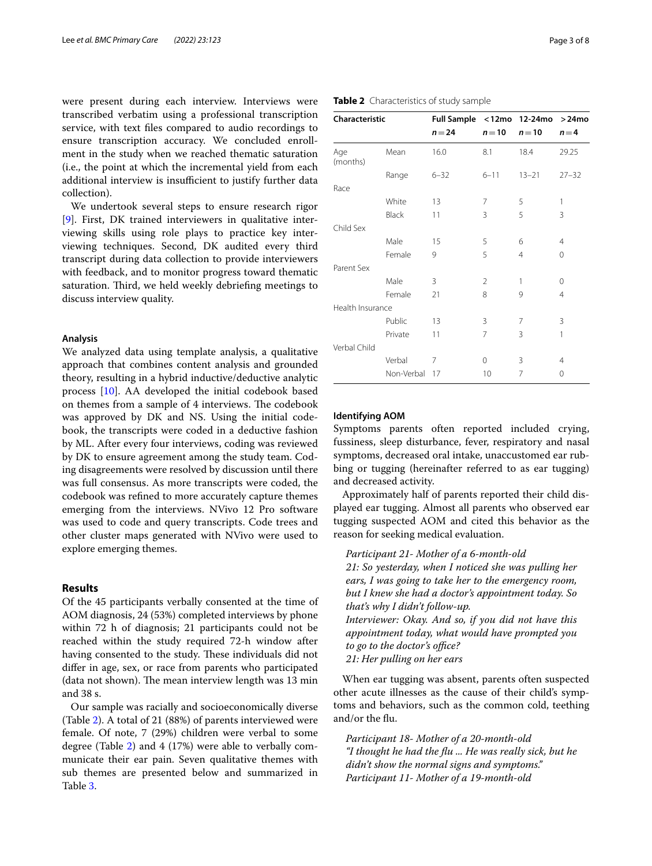were present during each interview. Interviews were transcribed verbatim using a professional transcription service, with text fles compared to audio recordings to ensure transcription accuracy. We concluded enrollment in the study when we reached thematic saturation (i.e., the point at which the incremental yield from each additional interview is insufficient to justify further data collection).

We undertook several steps to ensure research rigor [[9\]](#page-7-7). First, DK trained interviewers in qualitative interviewing skills using role plays to practice key interviewing techniques. Second, DK audited every third transcript during data collection to provide interviewers with feedback, and to monitor progress toward thematic saturation. Third, we held weekly debriefing meetings to discuss interview quality.

# **Analysis**

We analyzed data using template analysis, a qualitative approach that combines content analysis and grounded theory, resulting in a hybrid inductive/deductive analytic process [[10\]](#page-7-8). AA developed the initial codebook based on themes from a sample of 4 interviews. The codebook was approved by DK and NS. Using the initial codebook, the transcripts were coded in a deductive fashion by ML. After every four interviews, coding was reviewed by DK to ensure agreement among the study team. Coding disagreements were resolved by discussion until there was full consensus. As more transcripts were coded, the codebook was refned to more accurately capture themes emerging from the interviews. NVivo 12 Pro software was used to code and query transcripts. Code trees and other cluster maps generated with NVivo were used to explore emerging themes.

# **Results**

Of the 45 participants verbally consented at the time of AOM diagnosis, 24 (53%) completed interviews by phone within 72 h of diagnosis; 21 participants could not be reached within the study required 72-h window after having consented to the study. These individuals did not difer in age, sex, or race from parents who participated (data not shown). The mean interview length was 13 min and 38 s.

Our sample was racially and socioeconomically diverse (Table [2\)](#page-2-0). A total of 21 (88%) of parents interviewed were female. Of note, 7 (29%) children were verbal to some degree (Table [2\)](#page-2-0) and 4 (17%) were able to verbally communicate their ear pain. Seven qualitative themes with sub themes are presented below and summarized in Table [3](#page-3-0).

| Characteristic   |            | Full Sample <12mo 12-24mo >24mo |                |                |                |
|------------------|------------|---------------------------------|----------------|----------------|----------------|
|                  |            | $n = 24$                        | $n=10$         | $n=10$         | $n = 4$        |
| Age<br>(months)  | Mean       | 16.0                            | 8.1            | 18.4           | 29.25          |
|                  | Range      | $6 - 32$                        | $6 - 11$       | $13 - 21$      | $27 - 32$      |
| Race             |            |                                 |                |                |                |
|                  | White      | 13                              | 7              | 5              | 1              |
|                  | Black      | 11                              | 3              | 5              | 3              |
| Child Sex        |            |                                 |                |                |                |
|                  | Male       | 15                              | 5              | 6              | $\overline{4}$ |
|                  | Female     | 9                               | 5              | $\overline{4}$ | $\Omega$       |
| Parent Sex       |            |                                 |                |                |                |
|                  | Male       | 3                               | $\overline{2}$ | 1              | 0              |
|                  | Female     | 21                              | 8              | 9              | 4              |
| Health Insurance |            |                                 |                |                |                |
|                  | Public     | 13                              | 3              | 7              | 3              |
|                  | Private    | 11                              | 7              | 3              | 1              |
| Verbal Child     |            |                                 |                |                |                |
|                  | Verbal     | 7                               | $\Omega$       | 3              | $\overline{4}$ |
|                  | Non-Verbal | 17                              | 10             | 7              | $\Omega$       |

# <span id="page-2-0"></span>**Table 2** Characteristics of study sample

## **Identifying AOM**

Symptoms parents often reported included crying, fussiness, sleep disturbance, fever, respiratory and nasal symptoms, decreased oral intake, unaccustomed ear rubbing or tugging (hereinafter referred to as ear tugging) and decreased activity.

Approximately half of parents reported their child displayed ear tugging. Almost all parents who observed ear tugging suspected AOM and cited this behavior as the reason for seeking medical evaluation.

*Participant 21- Mother of a 6-month-old*

*21: So yesterday, when I noticed she was pulling her ears, I was going to take her to the emergency room, but I knew she had a doctor's appointment today. So that's why I didn't follow-up. Interviewer: Okay. And so, if you did not have this appointment today, what would have prompted you to go to the doctor's office? 21: Her pulling on her ears*

When ear tugging was absent, parents often suspected other acute illnesses as the cause of their child's symptoms and behaviors, such as the common cold, teething and/or the fu.

*Participant 18- Mother of a 20-month-old "I thought he had the fu ... He was really sick, but he didn't show the normal signs and symptoms." Participant 11- Mother of a 19-month-old*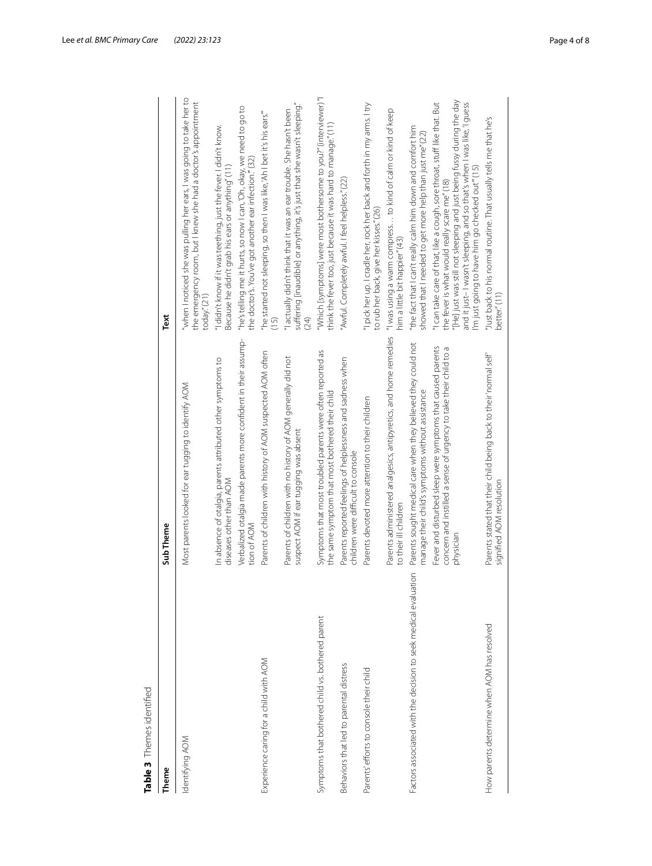<span id="page-3-0"></span>

| ť                         |
|---------------------------|
|                           |
|                           |
|                           |
| ֧֚֚֚֚֚֚֚֚֚֚֚֚֚֚֝֓֡׆<br>֧֧ |
|                           |
| ;                         |
|                           |
|                           |
| י המה הי                  |
|                           |
|                           |
|                           |
|                           |
|                           |
|                           |
| 1                         |
|                           |
|                           |
|                           |
|                           |
| ī                         |

| Table 3 Themes identified                                       |                                                                                                                                               |                                                                                                                                                                                                                                                                                                                                  |
|-----------------------------------------------------------------|-----------------------------------------------------------------------------------------------------------------------------------------------|----------------------------------------------------------------------------------------------------------------------------------------------------------------------------------------------------------------------------------------------------------------------------------------------------------------------------------|
| Theme                                                           | Sub Theme                                                                                                                                     | Text                                                                                                                                                                                                                                                                                                                             |
| Identifying AOM                                                 | Most parents looked for ear tugging to identify AOM                                                                                           | "when I noticed she was pulling her ears, I was going to take her to<br>the emergency room, but I knew she had a doctor's appointment<br>today." (21)                                                                                                                                                                            |
|                                                                 | In absence of otalgia, parents attributed other symptoms to<br>diseases other than AOM                                                        | "I didn't know if it was teething, just the fever. I didn't know.<br>Because he didn't grab his ears or anything" (11)                                                                                                                                                                                                           |
|                                                                 | Verbalized otalgia made parents more confident in their assump-<br>tion of AOM                                                                | "he's telling me it hurts, so now I can, 'Oh, okay, we need to go to<br>the doctor's. You've got another ear infection." (32)                                                                                                                                                                                                    |
| Experience caring for a child with AOM                          | Parents of children with history of AOM suspected AOM often                                                                                   | "he started not sleeping, so then I was like, 'Ah I bet it's his ears."<br>(15)                                                                                                                                                                                                                                                  |
|                                                                 | Parents of children with no history of AOM generally did not<br>suspect AOM if ear tugging was absent                                         | suffering [inaudible] or anything, it's just that she wasn't sleeping."<br>"I actually didn't think that it was an ear trouble. She hasn't been<br>(24)                                                                                                                                                                          |
| Symptoms that bothered child vs. bothered parent                | Symptoms that most troubled parents were often reported as<br>the same symptom that most bothered their child                                 | "Which [symptoms] were most bothersome to you?" (interviewer)."<br>think the fever too, just because it was hard to manage." (11)                                                                                                                                                                                                |
| Behaviors that led to parental distress                         | Parents reported feelings of helplessness and sadness when<br>children were difficult to console                                              | "Awful. Completely awful. I feel helpless." (22)                                                                                                                                                                                                                                                                                 |
| Parents' efforts to console their child                         | Parents devoted more attention to their children                                                                                              | "I pick her up. I cradle her, rock her back and forth in my arms. I try<br>to rub her back, give her kisses." (26)                                                                                                                                                                                                               |
|                                                                 | Parents administered analgesics, antipyretics, and home remedies<br>to their ill children                                                     | "I was using a warm compress to kind of calm or kind of keep<br>nim a little bit happier" (43)                                                                                                                                                                                                                                   |
| Factors associated with the decision to seek medical evaluation | Parents sought medical care when they believed they could not<br>manage their child's symptoms without assistance                             | "the fact that I can't really calm him down and comfort him<br>showed that I needed to get more help than just me" (22)                                                                                                                                                                                                          |
|                                                                 | Fever and disturbed sleep were symptoms that caused parents<br>concern and instilled a sense of urgency to take their child to a<br>physician | "[He] just was still not sleeping and just being fussy during the day<br>"I can take care of that, like a cough, sore throat, stuff like that. But<br>and it just-I wasn't sleeping, and so that's when I was like, 'I guess<br>I'm just going to have him go checked out" (15)<br>the fever is what would really scare me" (18) |
| How parents determine when AOM has resolved                     | Parents stated that their child being back to their 'normal self'<br>signified AOM resolution                                                 | "Just back to his normal routine. That usually tells me that he's<br>better." (11)                                                                                                                                                                                                                                               |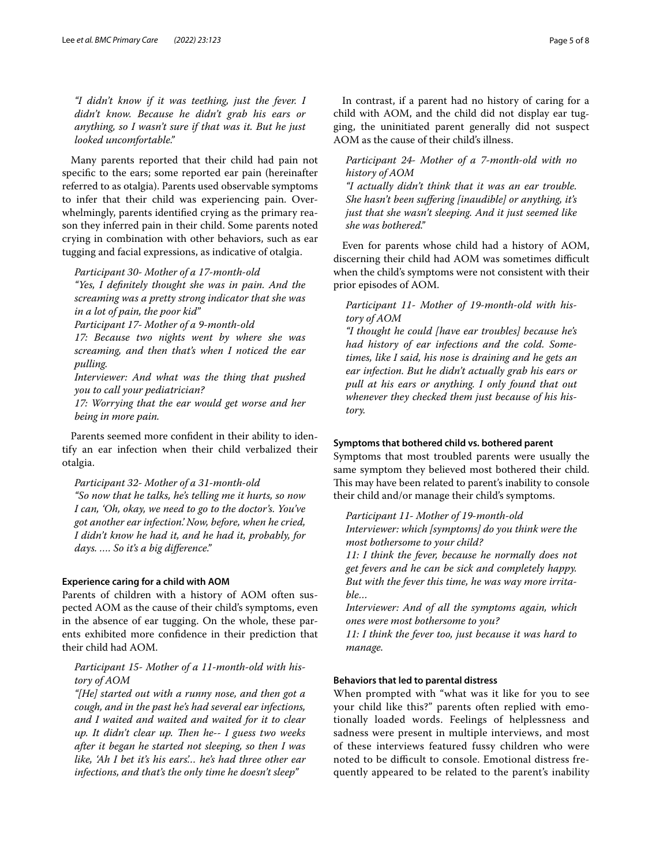*"I didn't know if it was teething, just the fever. I didn't know. Because he didn't grab his ears or anything, so I wasn't sure if that was it. But he just looked uncomfortable."*

Many parents reported that their child had pain not specifc to the ears; some reported ear pain (hereinafter referred to as otalgia). Parents used observable symptoms to infer that their child was experiencing pain. Overwhelmingly, parents identifed crying as the primary reason they inferred pain in their child. Some parents noted crying in combination with other behaviors, such as ear tugging and facial expressions, as indicative of otalgia.

*Participant 30- Mother of a 17-month-old "Yes, I defnitely thought she was in pain. And the screaming was a pretty strong indicator that she was* 

*in a lot of pain, the poor kid"*

*Participant 17- Mother of a 9-month-old*

*17: Because two nights went by where she was screaming, and then that's when I noticed the ear pulling.*

*Interviewer: And what was the thing that pushed you to call your pediatrician?*

*17: Worrying that the ear would get worse and her being in more pain.*

Parents seemed more confdent in their ability to identify an ear infection when their child verbalized their otalgia.

*Participant 32- Mother of a 31-month-old*

*"So now that he talks, he's telling me it hurts, so now I can, 'Oh, okay, we need to go to the doctor's. You've got another ear infection.' Now, before, when he cried, I didn't know he had it, and he had it, probably, for days. …. So it's a big diference."*

# **Experience caring for a child with AOM**

Parents of children with a history of AOM often suspected AOM as the cause of their child's symptoms, even in the absence of ear tugging. On the whole, these parents exhibited more confdence in their prediction that their child had AOM.

*Participant 15- Mother of a 11-month-old with history of AOM*

*"[He] started out with a runny nose, and then got a cough, and in the past he's had several ear infections, and I waited and waited and waited for it to clear up. It didn't clear up. Then he-- I guess two weeks after it began he started not sleeping, so then I was like, 'Ah I bet it's his ears'… he's had three other ear infections, and that's the only time he doesn't sleep"*

In contrast, if a parent had no history of caring for a child with AOM, and the child did not display ear tugging, the uninitiated parent generally did not suspect AOM as the cause of their child's illness.

*Participant 24- Mother of a 7-month-old with no history of AOM*

*"I actually didn't think that it was an ear trouble. She hasn't been sufering [inaudible] or anything, it's just that she wasn't sleeping. And it just seemed like she was bothered."*

Even for parents whose child had a history of AOM, discerning their child had AOM was sometimes difficult when the child's symptoms were not consistent with their prior episodes of AOM.

*Participant 11- Mother of 19-month-old with history of AOM*

*"I thought he could [have ear troubles] because he's had history of ear infections and the cold. Sometimes, like I said, his nose is draining and he gets an ear infection. But he didn't actually grab his ears or pull at his ears or anything. I only found that out whenever they checked them just because of his history.*

## **Symptoms that bothered child vs. bothered parent**

Symptoms that most troubled parents were usually the same symptom they believed most bothered their child. This may have been related to parent's inability to console their child and/or manage their child's symptoms.

*Participant 11- Mother of 19-month-old Interviewer: which [symptoms] do you think were the most bothersome to your child?*

*11: I think the fever, because he normally does not get fevers and he can be sick and completely happy. But with the fever this time, he was way more irritable…*

*Interviewer: And of all the symptoms again, which ones were most bothersome to you?*

*11: I think the fever too, just because it was hard to manage.*

# **Behaviors that led to parental distress**

When prompted with "what was it like for you to see your child like this?" parents often replied with emotionally loaded words. Feelings of helplessness and sadness were present in multiple interviews, and most of these interviews featured fussy children who were noted to be difficult to console. Emotional distress frequently appeared to be related to the parent's inability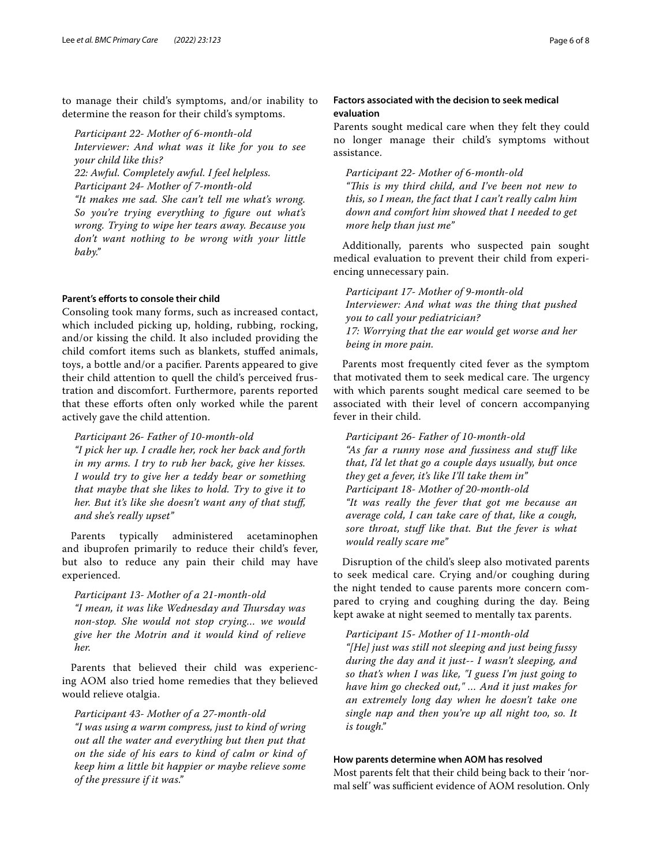to manage their child's symptoms, and/or inability to determine the reason for their child's symptoms.

*Participant 22- Mother of 6-month-old*

*Interviewer: And what was it like for you to see your child like this?*

*22: Awful. Completely awful. I feel helpless.*

*Participant 24- Mother of 7-month-old*

*"It makes me sad. She can't tell me what's wrong. So you're trying everything to fgure out what's wrong. Trying to wipe her tears away. Because you don't want nothing to be wrong with your little baby."*

# Parent's efforts to console their child

Consoling took many forms, such as increased contact, which included picking up, holding, rubbing, rocking, and/or kissing the child. It also included providing the child comfort items such as blankets, stufed animals, toys, a bottle and/or a pacifer. Parents appeared to give their child attention to quell the child's perceived frustration and discomfort. Furthermore, parents reported that these eforts often only worked while the parent actively gave the child attention.

*Participant 26- Father of 10-month-old "I pick her up. I cradle her, rock her back and forth in my arms. I try to rub her back, give her kisses. I would try to give her a teddy bear or something that maybe that she likes to hold. Try to give it to her. But it's like she doesn't want any of that stuf, and she's really upset"*

Parents typically administered acetaminophen and ibuprofen primarily to reduce their child's fever, but also to reduce any pain their child may have experienced.

*Participant 13- Mother of a 21-month-old "I mean, it was like Wednesday and Tursday was non-stop. She would not stop crying… we would give her the Motrin and it would kind of relieve her.*

Parents that believed their child was experiencing AOM also tried home remedies that they believed would relieve otalgia.

*Participant 43- Mother of a 27-month-old "I was using a warm compress, just to kind of wring out all the water and everything but then put that on the side of his ears to kind of calm or kind of keep him a little bit happier or maybe relieve some of the pressure if it was."*

# **Factors associated with the decision to seek medical evaluation**

Parents sought medical care when they felt they could no longer manage their child's symptoms without assistance.

*Participant 22- Mother of 6-month-old "Tis is my third child, and I've been not new to this, so I mean, the fact that I can't really calm him down and comfort him showed that I needed to get more help than just me"*

Additionally, parents who suspected pain sought medical evaluation to prevent their child from experiencing unnecessary pain.

*Participant 17- Mother of 9-month-old Interviewer: And what was the thing that pushed you to call your pediatrician? 17: Worrying that the ear would get worse and her being in more pain.*

Parents most frequently cited fever as the symptom that motivated them to seek medical care. The urgency with which parents sought medical care seemed to be associated with their level of concern accompanying fever in their child.

*Participant 26- Father of 10-month-old "As far a runny nose and fussiness and stuf like that, I'd let that go a couple days usually, but once they get a fever, it's like I'll take them in" Participant 18- Mother of 20-month-old "It was really the fever that got me because an average cold, I can take care of that, like a cough, sore throat, stuf like that. But the fever is what would really scare me"*

Disruption of the child's sleep also motivated parents to seek medical care. Crying and/or coughing during the night tended to cause parents more concern compared to crying and coughing during the day. Being kept awake at night seemed to mentally tax parents.

*Participant 15- Mother of 11-month-old "[He] just was still not sleeping and just being fussy during the day and it just-- I wasn't sleeping, and so that's when I was like, "I guess I'm just going to have him go checked out," … And it just makes for an extremely long day when he doesn't take one single nap and then you're up all night too, so. It is tough."*

# **How parents determine when AOM has resolved**

Most parents felt that their child being back to their 'normal self' was sufficient evidence of AOM resolution. Only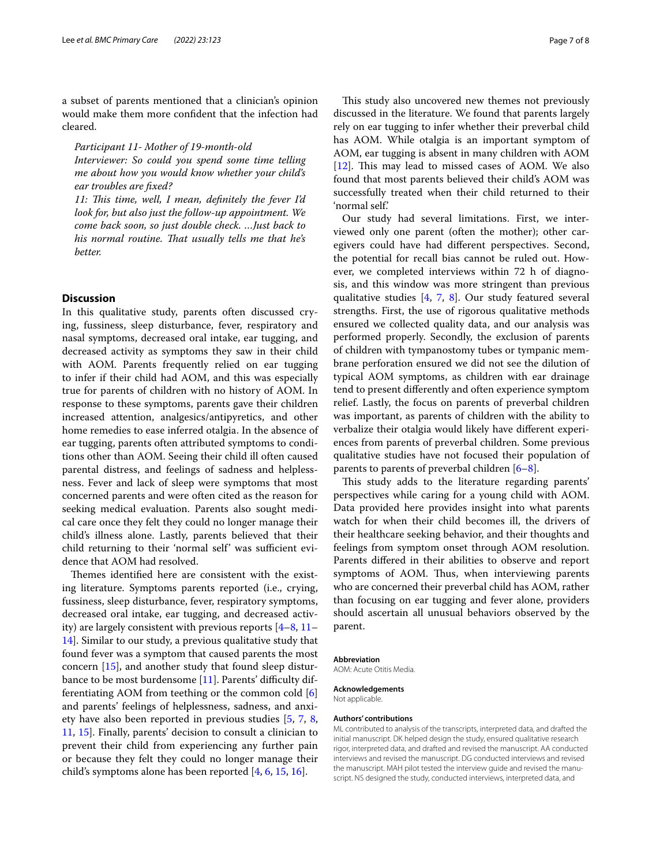a subset of parents mentioned that a clinician's opinion would make them more confdent that the infection had cleared.

*Participant 11- Mother of 19-month-old*

*Interviewer: So could you spend some time telling me about how you would know whether your child's ear troubles are fxed?*

*11: Tis time, well, I mean, defnitely the fever I'd look for, but also just the follow-up appointment. We come back soon, so just double check. …Just back to*  his normal routine. That usually tells me that he's *better.*

# **Discussion**

In this qualitative study, parents often discussed crying, fussiness, sleep disturbance, fever, respiratory and nasal symptoms, decreased oral intake, ear tugging, and decreased activity as symptoms they saw in their child with AOM. Parents frequently relied on ear tugging to infer if their child had AOM, and this was especially true for parents of children with no history of AOM. In response to these symptoms, parents gave their children increased attention, analgesics/antipyretics, and other home remedies to ease inferred otalgia. In the absence of ear tugging, parents often attributed symptoms to conditions other than AOM. Seeing their child ill often caused parental distress, and feelings of sadness and helplessness. Fever and lack of sleep were symptoms that most concerned parents and were often cited as the reason for seeking medical evaluation. Parents also sought medical care once they felt they could no longer manage their child's illness alone. Lastly, parents believed that their child returning to their 'normal self' was sufficient evidence that AOM had resolved.

Themes identified here are consistent with the existing literature. Symptoms parents reported (i.e., crying, fussiness, sleep disturbance, fever, respiratory symptoms, decreased oral intake, ear tugging, and decreased activity) are largely consistent with previous reports [\[4](#page-7-3)[–8](#page-7-6), [11–](#page-7-9) [14\]](#page-7-10). Similar to our study, a previous qualitative study that found fever was a symptom that caused parents the most concern [\[15\]](#page-7-11), and another study that found sleep distur-bance to be most burdensome [\[11\]](#page-7-9). Parents' difficulty differentiating AOM from teething or the common cold [\[6](#page-7-4)] and parents' feelings of helplessness, sadness, and anxiety have also been reported in previous studies [\[5](#page-7-12), [7,](#page-7-5) [8](#page-7-6), [11,](#page-7-9) [15](#page-7-11)]. Finally, parents' decision to consult a clinician to prevent their child from experiencing any further pain or because they felt they could no longer manage their child's symptoms alone has been reported [[4,](#page-7-3) [6](#page-7-4), [15](#page-7-11), [16\]](#page-7-13).

This study also uncovered new themes not previously discussed in the literature. We found that parents largely rely on ear tugging to infer whether their preverbal child has AOM. While otalgia is an important symptom of AOM, ear tugging is absent in many children with AOM  $[12]$  $[12]$ . This may lead to missed cases of AOM. We also found that most parents believed their child's AOM was successfully treated when their child returned to their 'normal self.'

Our study had several limitations. First, we interviewed only one parent (often the mother); other caregivers could have had diferent perspectives. Second, the potential for recall bias cannot be ruled out. However, we completed interviews within 72 h of diagnosis, and this window was more stringent than previous qualitative studies [[4,](#page-7-3) [7,](#page-7-5) [8](#page-7-6)]. Our study featured several strengths. First, the use of rigorous qualitative methods ensured we collected quality data, and our analysis was performed properly. Secondly, the exclusion of parents of children with tympanostomy tubes or tympanic membrane perforation ensured we did not see the dilution of typical AOM symptoms, as children with ear drainage tend to present diferently and often experience symptom relief. Lastly, the focus on parents of preverbal children was important, as parents of children with the ability to verbalize their otalgia would likely have diferent experiences from parents of preverbal children. Some previous qualitative studies have not focused their population of parents to parents of preverbal children [[6](#page-7-4)[–8](#page-7-6)].

This study adds to the literature regarding parents' perspectives while caring for a young child with AOM. Data provided here provides insight into what parents watch for when their child becomes ill, the drivers of their healthcare seeking behavior, and their thoughts and feelings from symptom onset through AOM resolution. Parents difered in their abilities to observe and report symptoms of AOM. Thus, when interviewing parents who are concerned their preverbal child has AOM, rather than focusing on ear tugging and fever alone, providers should ascertain all unusual behaviors observed by the parent.

#### **Abbreviation**

AOM: Acute Otitis Media.

**Acknowledgements** Not applicable.

## **Authors' contributions**

ML contributed to analysis of the transcripts, interpreted data, and drafted the initial manuscript. DK helped design the study, ensured qualitative research rigor, interpreted data, and drafted and revised the manuscript. AA conducted interviews and revised the manuscript. DG conducted interviews and revised the manuscript. MAH pilot tested the interview guide and revised the manuscript. NS designed the study, conducted interviews, interpreted data, and